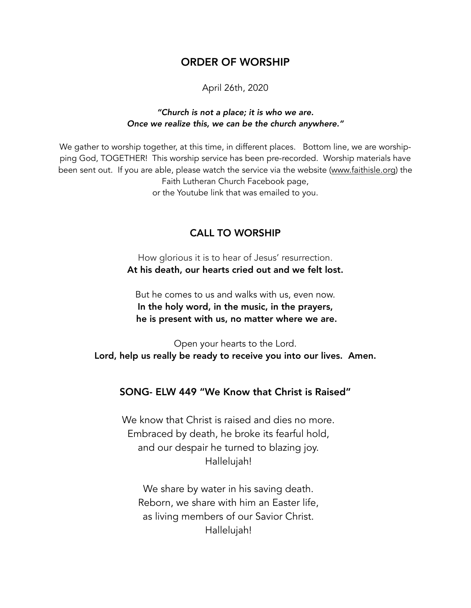# ORDER OF WORSHIP

April 26th, 2020

#### *"Church is not a place; it is who we are. Once we realize this, we can be the church anywhere."*

We gather to worship together, at this time, in different places. Bottom line, we are worshipping God, TOGETHER! This worship service has been pre-recorded. Worship materials have been sent out. If you are able, please watch the service via the website ([www.faithisle.org](http://www.faithisle.org)) the Faith Lutheran Church Facebook page, or the Youtube link that was emailed to you.

# CALL TO WORSHIP

How glorious it is to hear of Jesus' resurrection. At his death, our hearts cried out and we felt lost.

But he comes to us and walks with us, even now. In the holy word, in the music, in the prayers, he is present with us, no matter where we are.

Open your hearts to the Lord. Lord, help us really be ready to receive you into our lives. Amen.

# SONG- ELW 449 "We Know that Christ is Raised"

We know that Christ is raised and dies no more. Embraced by death, he broke its fearful hold, and our despair he turned to blazing joy. Hallelujah!

 We share by water in his saving death. Reborn, we share with him an Easter life, as living members of our Savior Christ. Hallelujah!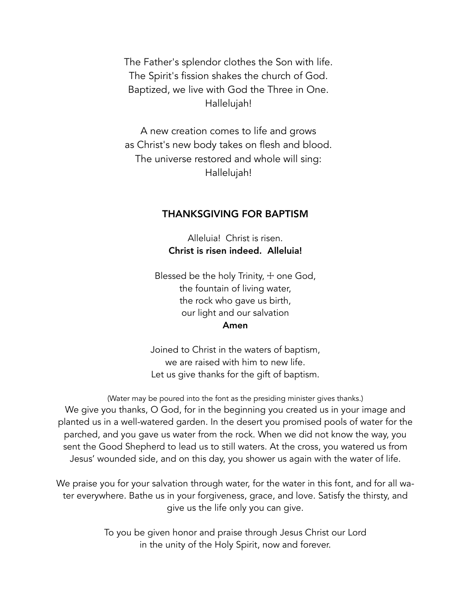The Father's splendor clothes the Son with life. The Spirit's fission shakes the church of God. Baptized, we live with God the Three in One. Hallelujah!

 A new creation comes to life and grows as Christ's new body takes on flesh and blood. The universe restored and whole will sing: Hallelujah!

#### THANKSGIVING FOR BAPTISM

Alleluia! Christ is risen. Christ is risen indeed. Alleluia!

Blessed be the holy Trinity,  $+$  one God, the fountain of living water, the rock who gave us birth, our light and our salvation Amen

Joined to Christ in the waters of baptism, we are raised with him to new life. Let us give thanks for the gift of baptism.

(Water may be poured into the font as the presiding minister gives thanks.) We give you thanks, O God, for in the beginning you created us in your image and planted us in a well-watered garden. In the desert you promised pools of water for the parched, and you gave us water from the rock. When we did not know the way, you sent the Good Shepherd to lead us to still waters. At the cross, you watered us from Jesus' wounded side, and on this day, you shower us again with the water of life.

We praise you for your salvation through water, for the water in this font, and for all water everywhere. Bathe us in your forgiveness, grace, and love. Satisfy the thirsty, and give us the life only you can give.

> To you be given honor and praise through Jesus Christ our Lord in the unity of the Holy Spirit, now and forever.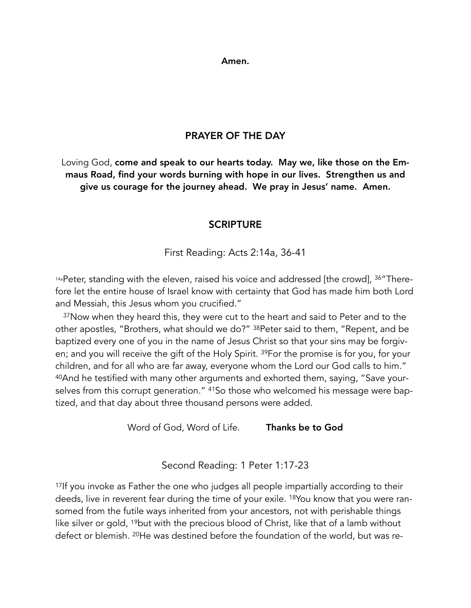Amen.

# PRAYER OF THE DAY

Loving God, come and speak to our hearts today. May we, like those on the Emmaus Road, find your words burning with hope in our lives. Strengthen us and give us courage for the journey ahead. We pray in Jesus' name. Amen.

# **SCRIPTURE**

First Reading: Acts 2:14a, 36-41

14aPeter, standing with the eleven, raised his voice and addressed [the crowd], 36"Therefore let the entire house of Israel know with certainty that God has made him both Lord and Messiah, this Jesus whom you crucified."

<sup>37</sup>Now when they heard this, they were cut to the heart and said to Peter and to the other apostles, "Brothers, what should we do?" 38Peter said to them, "Repent, and be baptized every one of you in the name of Jesus Christ so that your sins may be forgiven; and you will receive the gift of the Holy Spirit. 39For the promise is for you, for your children, and for all who are far away, everyone whom the Lord our God calls to him." 40And he testified with many other arguments and exhorted them, saying, "Save yourselves from this corrupt generation." 41So those who welcomed his message were baptized, and that day about three thousand persons were added.

Word of God, Word of Life. Thanks be to God

Second Reading: 1 Peter 1:17-23

<sup>17</sup>If you invoke as Father the one who judges all people impartially according to their deeds, live in reverent fear during the time of your exile. 18You know that you were ransomed from the futile ways inherited from your ancestors, not with perishable things like silver or gold, <sup>19</sup>but with the precious blood of Christ, like that of a lamb without defect or blemish. 20He was destined before the foundation of the world, but was re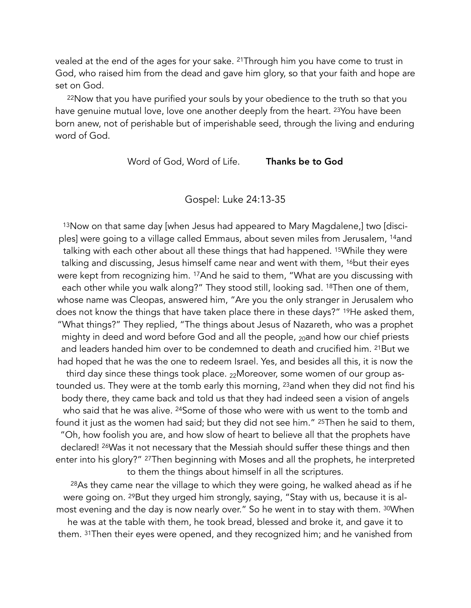vealed at the end of the ages for your sake. 21Through him you have come to trust in God, who raised him from the dead and gave him glory, so that your faith and hope are set on God.

<sup>22</sup>Now that you have purified your souls by your obedience to the truth so that you have genuine mutual love, love one another deeply from the heart. <sup>23</sup>You have been born anew, not of perishable but of imperishable seed, through the living and enduring word of God.

Word of God, Word of Life. Thanks be to God

Gospel: Luke 24:13-35

13Now on that same day [when Jesus had appeared to Mary Magdalene,] two [disciples] were going to a village called Emmaus, about seven miles from Jerusalem, 14and talking with each other about all these things that had happened. 15While they were talking and discussing, Jesus himself came near and went with them, <sup>16</sup>but their eyes were kept from recognizing him. 17And he said to them, "What are you discussing with each other while you walk along?" They stood still, looking sad. 18Then one of them, whose name was Cleopas, answered him, "Are you the only stranger in Jerusalem who does not know the things that have taken place there in these days?" 19He asked them, "What things?" They replied, "The things about Jesus of Nazareth, who was a prophet mighty in deed and word before God and all the people, <sub>20</sub>and how our chief priests and leaders handed him over to be condemned to death and crucified him. 21But we had hoped that he was the one to redeem Israel. Yes, and besides all this, it is now the third day since these things took place. 22Moreover, some women of our group astounded us. They were at the tomb early this morning, <sup>23</sup>and when they did not find his body there, they came back and told us that they had indeed seen a vision of angels who said that he was alive. <sup>24</sup>Some of those who were with us went to the tomb and found it just as the women had said; but they did not see him." <sup>25</sup>Then he said to them, "Oh, how foolish you are, and how slow of heart to believe all that the prophets have declared! 26Was it not necessary that the Messiah should suffer these things and then enter into his glory?" 27Then beginning with Moses and all the prophets, he interpreted to them the things about himself in all the scriptures.

28As they came near the village to which they were going, he walked ahead as if he were going on. <sup>29</sup>But they urged him strongly, saying, "Stay with us, because it is almost evening and the day is now nearly over." So he went in to stay with them. 30When he was at the table with them, he took bread, blessed and broke it, and gave it to them. 31Then their eyes were opened, and they recognized him; and he vanished from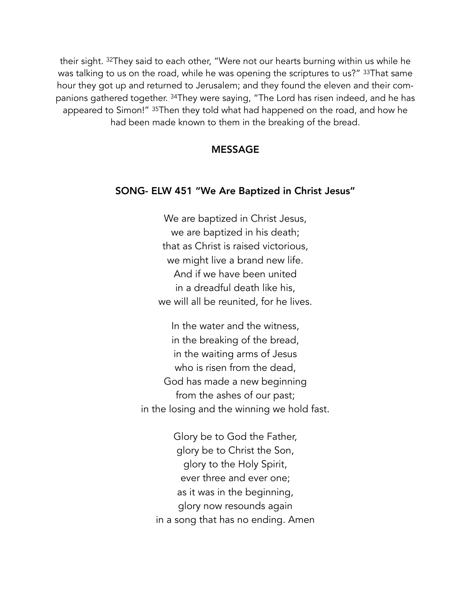their sight. 32They said to each other, "Were not our hearts burning within us while he was talking to us on the road, while he was opening the scriptures to us?" 33That same hour they got up and returned to Jerusalem; and they found the eleven and their companions gathered together. 34They were saying, "The Lord has risen indeed, and he has appeared to Simon!" 35Then they told what had happened on the road, and how he had been made known to them in the breaking of the bread.

#### MESSAGE

# SONG- ELW 451 "We Are Baptized in Christ Jesus"

We are baptized in Christ Jesus, we are baptized in his death; that as Christ is raised victorious, we might live a brand new life. And if we have been united in a dreadful death like his, we will all be reunited, for he lives.

 In the water and the witness, in the breaking of the bread, in the waiting arms of Jesus who is risen from the dead, God has made a new beginning from the ashes of our past; in the losing and the winning we hold fast.

 Glory be to God the Father, glory be to Christ the Son, glory to the Holy Spirit, ever three and ever one; as it was in the beginning, glory now resounds again in a song that has no ending. Amen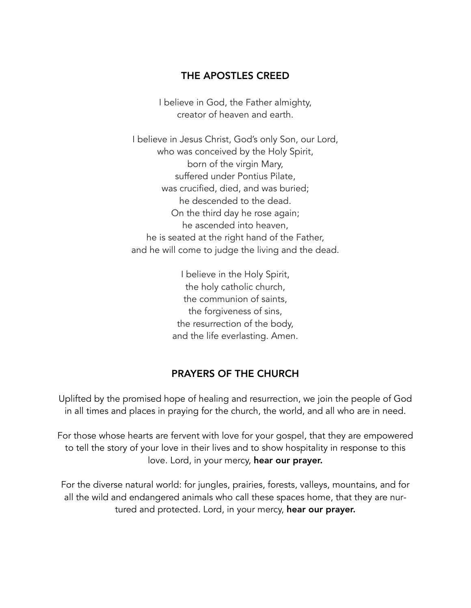# THE APOSTLES CREED

I believe in God, the Father almighty, creator of heaven and earth.

I believe in Jesus Christ, God's only Son, our Lord, who was conceived by the Holy Spirit, born of the virgin Mary, suffered under Pontius Pilate, was crucified, died, and was buried; he descended to the dead. On the third day he rose again; he ascended into heaven, he is seated at the right hand of the Father, and he will come to judge the living and the dead.

> I believe in the Holy Spirit, the holy catholic church, the communion of saints, the forgiveness of sins, the resurrection of the body, and the life everlasting. Amen.

## PRAYERS OF THE CHURCH

Uplifted by the promised hope of healing and resurrection, we join the people of God in all times and places in praying for the church, the world, and all who are in need.

For those whose hearts are fervent with love for your gospel, that they are empowered to tell the story of your love in their lives and to show hospitality in response to this love. Lord, in your mercy, hear our prayer.

For the diverse natural world: for jungles, prairies, forests, valleys, mountains, and for all the wild and endangered animals who call these spaces home, that they are nurtured and protected. Lord, in your mercy, hear our prayer.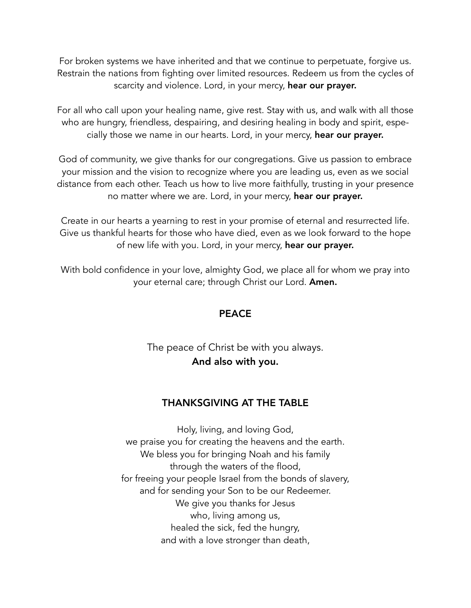For broken systems we have inherited and that we continue to perpetuate, forgive us. Restrain the nations from fighting over limited resources. Redeem us from the cycles of scarcity and violence. Lord, in your mercy, hear our prayer.

For all who call upon your healing name, give rest. Stay with us, and walk with all those who are hungry, friendless, despairing, and desiring healing in body and spirit, especially those we name in our hearts. Lord, in your mercy, hear our prayer.

God of community, we give thanks for our congregations. Give us passion to embrace your mission and the vision to recognize where you are leading us, even as we social distance from each other. Teach us how to live more faithfully, trusting in your presence no matter where we are. Lord, in your mercy, hear our prayer.

Create in our hearts a yearning to rest in your promise of eternal and resurrected life. Give us thankful hearts for those who have died, even as we look forward to the hope of new life with you. Lord, in your mercy, hear our prayer.

With bold confidence in your love, almighty God, we place all for whom we pray into your eternal care; through Christ our Lord. Amen.

# **PEACE**

# The peace of Christ be with you always. And also with you.

# THANKSGIVING AT THE TABLE

Holy, living, and loving God, we praise you for creating the heavens and the earth. We bless you for bringing Noah and his family through the waters of the flood, for freeing your people Israel from the bonds of slavery, and for sending your Son to be our Redeemer. We give you thanks for Jesus who, living among us, healed the sick, fed the hungry, and with a love stronger than death,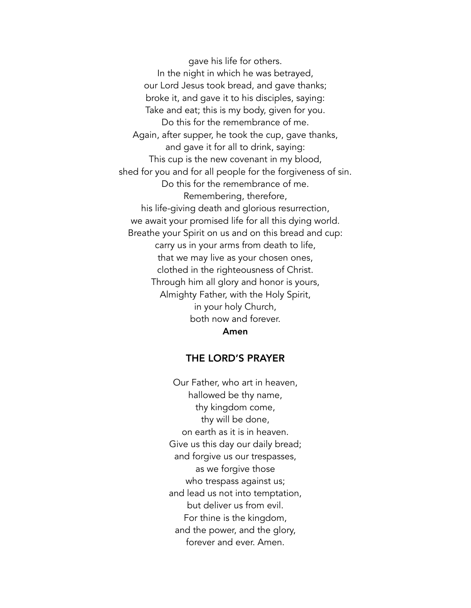gave his life for others. In the night in which he was betrayed, our Lord Jesus took bread, and gave thanks; broke it, and gave it to his disciples, saying: Take and eat; this is my body, given for you. Do this for the remembrance of me. Again, after supper, he took the cup, gave thanks, and gave it for all to drink, saying: This cup is the new covenant in my blood, shed for you and for all people for the forgiveness of sin. Do this for the remembrance of me. Remembering, therefore, his life-giving death and glorious resurrection, we await your promised life for all this dying world. Breathe your Spirit on us and on this bread and cup: carry us in your arms from death to life, that we may live as your chosen ones, clothed in the righteousness of Christ. Through him all glory and honor is yours, Almighty Father, with the Holy Spirit, in your holy Church, both now and forever.

#### Amen

#### THE LORD'S PRAYER

Our Father, who art in heaven, hallowed be thy name, thy kingdom come, thy will be done, on earth as it is in heaven. Give us this day our daily bread; and forgive us our trespasses, as we forgive those who trespass against us; and lead us not into temptation, but deliver us from evil. For thine is the kingdom, and the power, and the glory, forever and ever. Amen.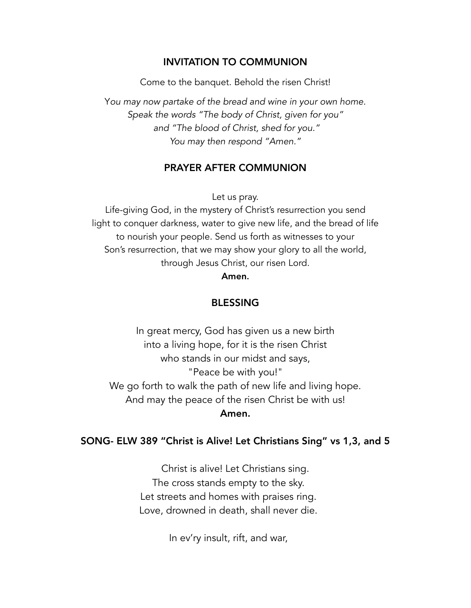# INVITATION TO COMMUNION

Come to the banquet. Behold the risen Christ!

Y*ou may now partake of the bread and wine in your own home. Speak the words "The body of Christ, given for you" and "The blood of Christ, shed for you." You may then respond "Amen."* 

## PRAYER AFTER COMMUNION

Let us pray.

Life-giving God, in the mystery of Christ's resurrection you send light to conquer darkness, water to give new life, and the bread of life to nourish your people. Send us forth as witnesses to your Son's resurrection, that we may show your glory to all the world, through Jesus Christ, our risen Lord.

Amen.

# BLESSING

In great mercy, God has given us a new birth into a living hope, for it is the risen Christ who stands in our midst and says, "Peace be with you!" We go forth to walk the path of new life and living hope. And may the peace of the risen Christ be with us! Amen.

## SONG- ELW 389 "Christ is Alive! Let Christians Sing" vs 1,3, and 5

Christ is alive! Let Christians sing. The cross stands empty to the sky. Let streets and homes with praises ring. Love, drowned in death, shall never die.

In ev'ry insult, rift, and war,